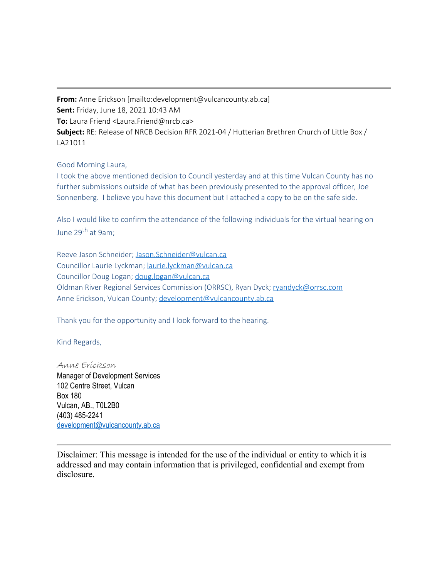**From:** Anne Erickson [mailto:development@vulcancounty.ab.ca] **Sent:** Friday, June 18, 2021 10:43 AM **To:** Laura Friend <Laura.Friend@nrcb.ca> **Subject:** RE: Release of NRCB Decision RFR 2021-04 / Hutterian Brethren Church of Little Box / LA21011

## Good Morning Laura,

I took the above mentioned decision to Council yesterday and at this time Vulcan County has no further submissions outside of what has been previously presented to the approval officer, Joe Sonnenberg. I believe you have this document but I attached a copy to be on the safe side.

Also I would like to confirm the attendance of the following individuals for the virtual hearing on June 29<sup>th</sup> at 9am;

Reeve Jason Schneider; [Jason.Schneider@vulcan.ca](mailto:Jason.Schneider@vulcan.ca) Councillor Laurie Lyckman; [laurie.lyckman@vulcan.ca](mailto:laurie.lyckman@vulcan.ca) Councillor Doug Logan; [doug.logan@vulcan.ca](mailto:doug.logan@vulcan.ca) Oldman River Regional Services Commission (ORRSC), Ryan Dyck; [ryandyck@orrsc.com](mailto:ryandyck@orrsc.com) Anne Erickson, Vulcan County; [development@vulcancounty.ab.ca](mailto:development@vulcancounty.ab.ca)

Thank you for the opportunity and I look forward to the hearing.

Kind Regards,

Anne Erickson Manager of Development Services 102 Centre Street, Vulcan Box 180 Vulcan, AB., T0L2B0 (403) 485-2241 [development@vulcancounty.ab.ca](mailto:development@vulcancounty.ab.ca)

Disclaimer: This message is intended for the use of the individual or entity to which it is addressed and may contain information that is privileged, confidential and exempt from disclosure.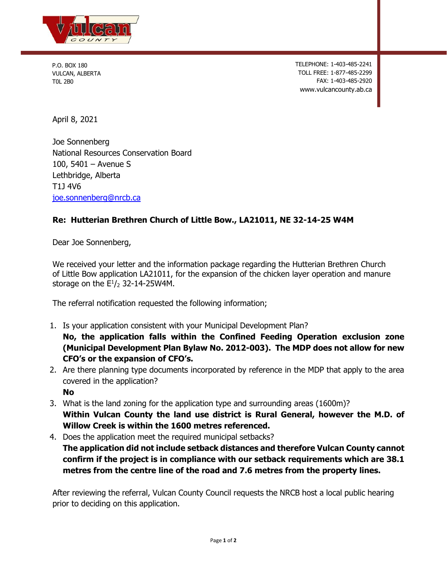

P.O. BOX 180 VULCAN, ALBERTA T0L 2B0

TELEPHONE: 1-403-485-2241 TOLL FREE: 1-877-485-2299 FAX: 1-403-485-2920 www.vulcancounty.ab.ca

April 8, 2021

Joe Sonnenberg National Resources Conservation Board 100, 5401 – Avenue S Lethbridge, Alberta T1J 4V6 [joe.sonnenberg@nrcb.ca](mailto:joe.sonnenberg@nrcb.ca)

## **Re: Hutterian Brethren Church of Little Bow., LA21011, NE 32-14-25 W4M**

Dear Joe Sonnenberg,

We received your letter and the information package regarding the Hutterian Brethren Church of Little Bow application LA21011, for the expansion of the chicken layer operation and manure storage on the  $E^{1}/_{2}$  32-14-25W4M.

The referral notification requested the following information;

1. Is your application consistent with your Municipal Development Plan?

**No, the application falls within the Confined Feeding Operation exclusion zone (Municipal Development Plan Bylaw No. 2012-003). The MDP does not allow for new CFO's or the expansion of CFO's.**

- 2. Are there planning type documents incorporated by reference in the MDP that apply to the area covered in the application? **No**
- 3. What is the land zoning for the application type and surrounding areas (1600m)? **Within Vulcan County the land use district is Rural General, however the M.D. of Willow Creek is within the 1600 metres referenced.**
- 4. Does the application meet the required municipal setbacks? **The application did not include setback distances and therefore Vulcan County cannot confirm if the project is in compliance with our setback requirements which are 38.1 metres from the centre line of the road and 7.6 metres from the property lines.**

After reviewing the referral, Vulcan County Council requests the NRCB host a local public hearing prior to deciding on this application.